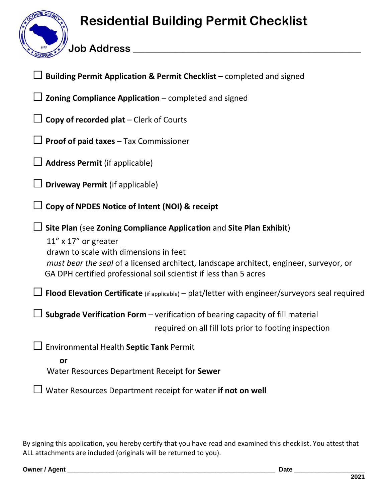## **Residential Building Permit Checklist**

**Job Address \_\_\_\_\_\_\_\_\_\_\_\_\_\_\_\_\_\_\_\_\_\_\_\_\_\_\_\_\_\_\_\_\_\_\_\_\_\_\_\_\_\_\_\_\_\_\_\_\_\_\_\_\_\_\_\_\_\_\_\_**

| Building Permit Application & Permit Checklist - completed and signed                                                                                                                                                                                                                                       |
|-------------------------------------------------------------------------------------------------------------------------------------------------------------------------------------------------------------------------------------------------------------------------------------------------------------|
| Zoning Compliance Application - completed and signed                                                                                                                                                                                                                                                        |
| Copy of recorded plat - Clerk of Courts                                                                                                                                                                                                                                                                     |
| $\Box$ Proof of paid taxes – Tax Commissioner                                                                                                                                                                                                                                                               |
| <b>Address Permit (if applicable)</b>                                                                                                                                                                                                                                                                       |
| <b>Driveway Permit (if applicable)</b>                                                                                                                                                                                                                                                                      |
| Copy of NPDES Notice of Intent (NOI) & receipt                                                                                                                                                                                                                                                              |
| Site Plan (see Zoning Compliance Application and Site Plan Exhibit)<br>$11''$ x $17''$ or greater<br>drawn to scale with dimensions in feet<br>must bear the seal of a licensed architect, landscape architect, engineer, surveyor, or<br>GA DPH certified professional soil scientist if less than 5 acres |
| Flood Elevation Certificate (if applicable) - plat/letter with engineer/surveyors seal required                                                                                                                                                                                                             |
| Subgrade Verification Form - verification of bearing capacity of fill material<br>required on all fill lots prior to footing inspection                                                                                                                                                                     |
| <b>Environmental Health Septic Tank Permit</b><br>or<br>Water Resources Department Receipt for Sewer                                                                                                                                                                                                        |
| Water Resources Department receipt for water if not on well                                                                                                                                                                                                                                                 |
|                                                                                                                                                                                                                                                                                                             |

By signing this application, you hereby certify that you have read and examined this checklist. You attest that ALL attachments are included (originals will be returned to you).